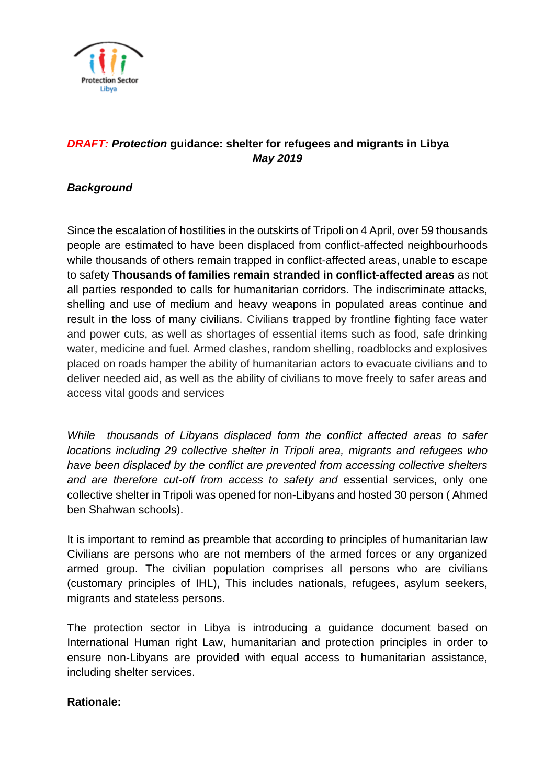

# *DRAFT: Protection* **guidance: shelter for refugees and migrants in Libya** *May 2019*

## *Background*

Since the escalation of hostilities in the outskirts of Tripoli on 4 April, over 59 thousands people are estimated to have been displaced from conflict-affected neighbourhoods while thousands of others remain trapped in conflict-affected areas, unable to escape to safety **Thousands of families remain stranded in conflict-affected areas** as not all parties responded to calls for humanitarian corridors. The indiscriminate attacks, shelling and use of medium and heavy weapons in populated areas continue and result in the loss of many civilians. Civilians trapped by frontline fighting face water and power cuts, as well as shortages of essential items such as food, safe drinking water, medicine and fuel. Armed clashes, random shelling, roadblocks and explosives placed on roads hamper the ability of humanitarian actors to evacuate civilians and to deliver needed aid, as well as the ability of civilians to move freely to safer areas and access vital goods and services

*While thousands of Libyans displaced form the conflict affected areas to safer locations including 29 collective shelter in Tripoli area, migrants and refugees who have been displaced by the conflict are prevented from accessing collective shelters and are therefore cut-off from access to safety and* essential services, only one collective shelter in Tripoli was opened for non-Libyans and hosted 30 person ( Ahmed ben Shahwan schools).

It is important to remind as preamble that according to principles of humanitarian law Civilians are persons who are not members of the armed forces or any organized armed group. The civilian population comprises all persons who are civilians (customary principles of IHL), This includes nationals, refugees, asylum seekers, migrants and stateless persons.

The protection sector in Libya is introducing a guidance document based on International Human right Law, humanitarian and protection principles in order to ensure non-Libyans are provided with equal access to humanitarian assistance, including shelter services.

### **Rationale:**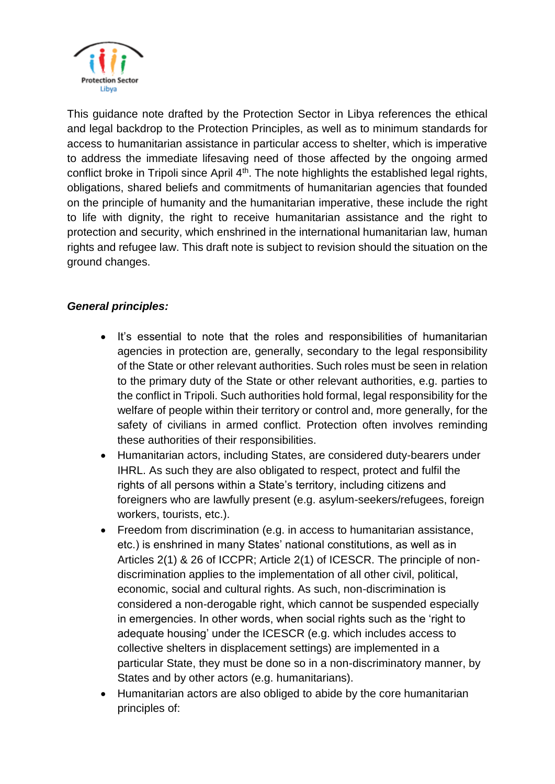

This guidance note drafted by the Protection Sector in Libya references the ethical and legal backdrop to the Protection Principles, as well as to minimum standards for access to humanitarian assistance in particular access to shelter, which is imperative to address the immediate lifesaving need of those affected by the ongoing armed conflict broke in Tripoli since April 4<sup>th</sup>. The note highlights the established legal rights, obligations, shared beliefs and commitments of humanitarian agencies that founded on the principle of humanity and the humanitarian imperative, these include the right to life with dignity, the right to receive humanitarian assistance and the right to protection and security, which enshrined in the international humanitarian law, human rights and refugee law. This draft note is subject to revision should the situation on the ground changes.

## *General principles:*

- It's essential to note that the roles and responsibilities of humanitarian agencies in protection are, generally, secondary to the legal responsibility of the State or other relevant authorities. Such roles must be seen in relation to the primary duty of the State or other relevant authorities, e.g. parties to the conflict in Tripoli. Such authorities hold formal, legal responsibility for the welfare of people within their territory or control and, more generally, for the safety of civilians in armed conflict. Protection often involves reminding these authorities of their responsibilities.
- Humanitarian actors, including States, are considered duty-bearers under IHRL. As such they are also obligated to respect, protect and fulfil the rights of all persons within a State's territory, including citizens and foreigners who are lawfully present (e.g. asylum-seekers/refugees, foreign workers, tourists, etc.).
- Freedom from discrimination (e.g. in access to humanitarian assistance, etc.) is enshrined in many States' national constitutions, as well as in Articles 2(1) & 26 of ICCPR; Article 2(1) of ICESCR. The principle of nondiscrimination applies to the implementation of all other civil, political, economic, social and cultural rights. As such, non-discrimination is considered a non-derogable right, which cannot be suspended especially in emergencies. In other words, when social rights such as the 'right to adequate housing' under the ICESCR (e.g. which includes access to collective shelters in displacement settings) are implemented in a particular State, they must be done so in a non-discriminatory manner, by States and by other actors (e.g. humanitarians).
- Humanitarian actors are also obliged to abide by the core humanitarian principles of: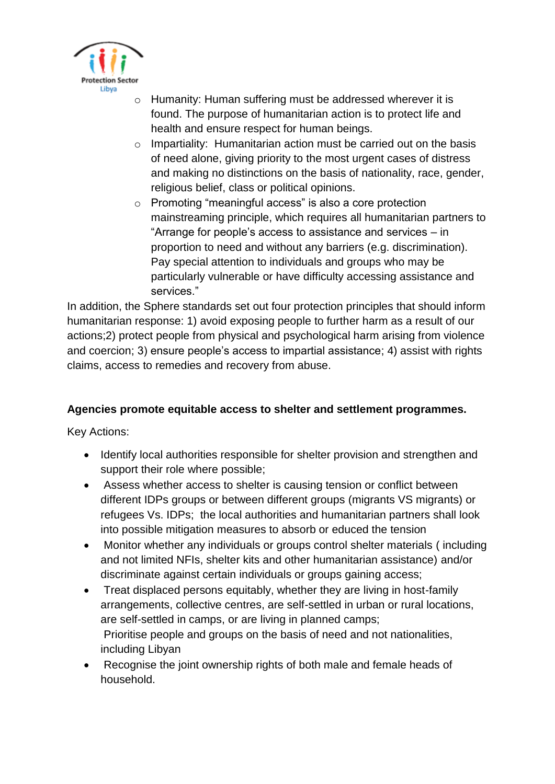

- o Humanity: Human suffering must be addressed wherever it is found. The purpose of humanitarian action is to protect life and health and ensure respect for human beings.
- o Impartiality: Humanitarian action must be carried out on the basis of need alone, giving priority to the most urgent cases of distress and making no distinctions on the basis of nationality, race, gender, religious belief, class or political opinions.
- o Promoting "meaningful access" is also a core protection mainstreaming principle, which requires all humanitarian partners to "Arrange for people's access to assistance and services – in proportion to need and without any barriers (e.g. discrimination). Pay special attention to individuals and groups who may be particularly vulnerable or have difficulty accessing assistance and services."

In addition, the Sphere standards set out four protection principles that should inform humanitarian response: 1) avoid exposing people to further harm as a result of our actions;2) protect people from physical and psychological harm arising from violence and coercion; 3) ensure people's access to impartial assistance; 4) assist with rights claims, access to remedies and recovery from abuse.

# **Agencies promote equitable access to shelter and settlement programmes.**

Key Actions:

- Identify local authorities responsible for shelter provision and strengthen and support their role where possible;
- Assess whether access to shelter is causing tension or conflict between different IDPs groups or between different groups (migrants VS migrants) or refugees Vs. IDPs; the local authorities and humanitarian partners shall look into possible mitigation measures to absorb or educed the tension
- Monitor whether any individuals or groups control shelter materials ( including and not limited NFIs, shelter kits and other humanitarian assistance) and/or discriminate against certain individuals or groups gaining access;
- Treat displaced persons equitably, whether they are living in host-family arrangements, collective centres, are self-settled in urban or rural locations, are self-settled in camps, or are living in planned camps; Prioritise people and groups on the basis of need and not nationalities, including Libyan
- Recognise the joint ownership rights of both male and female heads of household.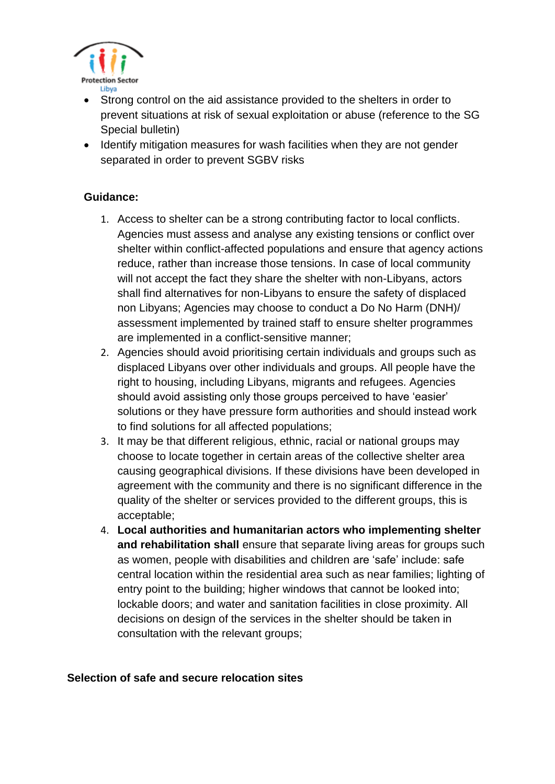

- Strong control on the aid assistance provided to the shelters in order to prevent situations at risk of sexual exploitation or abuse (reference to the SG Special bulletin)
- Identify mitigation measures for wash facilities when they are not gender separated in order to prevent SGBV risks

#### **Guidance:**

- 1. Access to shelter can be a strong contributing factor to local conflicts. Agencies must assess and analyse any existing tensions or conflict over shelter within conflict-affected populations and ensure that agency actions reduce, rather than increase those tensions. In case of local community will not accept the fact they share the shelter with non-Libyans, actors shall find alternatives for non-Libyans to ensure the safety of displaced non Libyans; Agencies may choose to conduct a Do No Harm (DNH)/ assessment implemented by trained staff to ensure shelter programmes are implemented in a conflict-sensitive manner;
- 2. Agencies should avoid prioritising certain individuals and groups such as displaced Libyans over other individuals and groups. All people have the right to housing, including Libyans, migrants and refugees. Agencies should avoid assisting only those groups perceived to have 'easier' solutions or they have pressure form authorities and should instead work to find solutions for all affected populations;
- 3. It may be that different religious, ethnic, racial or national groups may choose to locate together in certain areas of the collective shelter area causing geographical divisions. If these divisions have been developed in agreement with the community and there is no significant difference in the quality of the shelter or services provided to the different groups, this is acceptable;
- 4. **Local authorities and humanitarian actors who implementing shelter and rehabilitation shall** ensure that separate living areas for groups such as women, people with disabilities and children are 'safe' include: safe central location within the residential area such as near families; lighting of entry point to the building; higher windows that cannot be looked into; lockable doors; and water and sanitation facilities in close proximity. All decisions on design of the services in the shelter should be taken in consultation with the relevant groups;

#### **Selection of safe and secure relocation sites**